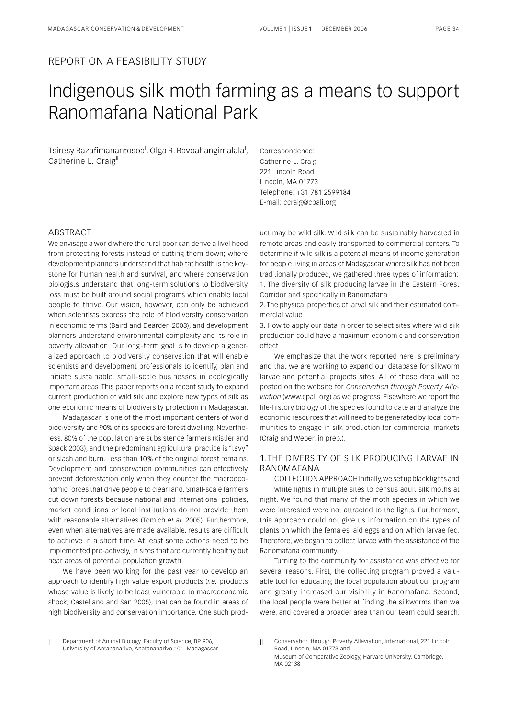### REPORT ON A FEASIBILITY STUDY

# Indigenous silk moth farming as a means to support Ranomafana National Park

Tsiresy Razafimanantosoa<sup>i</sup>, Olga R. Ravoahangimalala<sup>i</sup>, Catherine L. Craig"

Correspondence: Catherine L. Craig 221 Lincoln Road Lincoln, MA 01773 Telephone: +31 781 2599184 E-mail: ccraig@cpali.org

## ABSTRACT

We envisage a world where the rural poor can derive a livelihood from protecting forests instead of cutting them down; where development planners understand that habitat health is the keystone for human health and survival, and where conservation biologists understand that long - term solutions to biodiversity loss must be built around social programs which enable local people to thrive. Our vision, however, can only be achieved when scientists express the role of biodiversity conservation in economic terms (Baird and Dearden 2003), and development planners understand environmental complexity and its role in poverty alleviation. Our long-term goal is to develop a generalized approach to biodiversity conservation that will enable scientists and development professionals to identify, plan and initiate sustainable, small - scale businesses in ecologically important areas. This paper reports on a recent study to expand current production of wild silk and explore new types of silk as one economic means of biodiversity protection in Madagascar.

Madagascar is one of the most important centers of world biodiversity and 90% of its species are forest dwelling. Nevertheless, 80% of the population are subsistence farmers (Kistler and Spack 2003), and the predominant agricultural practice is "tavy" or slash and burn. Less than 10 % of the original forest remains. Development and conservation communities can effectively prevent deforestation only when they counter the macroeconomic forces that drive people to clear land. Small-scale farmers cut down forests because national and international policies, market conditions or local institutions do not provide them with reasonable alternatives (Tomich *et al.* 2005). Furthermore, even when alternatives are made available, results are difficult to achieve in a short time. At least some actions need to be implemented pro-actively, in sites that are currently healthy but near areas of potential population growth.

We have been working for the past year to develop an approach to identify high value export products (*i.e.* products whose value is likely to be least vulnerable to macroeconomic shock; Castellano and San 2005), that can be found in areas of high biodiversity and conservation importance. One such product may be wild silk. Wild silk can be sustainably harvested in remote areas and easily transported to commercial centers. To determine if wild silk is a potential means of income generation for people living in areas of Madagascar where silk has not been traditionally produced, we gathered three types of information: 1. The diversity of silk producing larvae in the Eastern Forest Corridor and specifically in Ranomafana

2. The physical properties of larval silk and their estimated commercial value

3. How to apply our data in order to select sites where wild silk production could have a maximum economic and conservation effect

We emphasize that the work reported here is preliminary and that we are working to expand our database for silkworm larvae and potential projects sites. All of these data will be posted on the website for *Conservation through Poverty Alleviation* (www.cpali.org) as we progress. Elsewhere we report the life-history biology of the species found to date and analyze the economic resources that will need to be generated by local communities to engage in silk production for commercial markets (Craig and Weber, in prep.).

#### 1.THE DIVERSITY OF SILK PRODUCING LARVAE IN RANOMAFANA

COLLECTION APPROACH Initially, we set up black lights and white lights in multiple sites to census adult silk moths at night. We found that many of the moth species in which we were interested were not attracted to the lights. Furthermore, this approach could not give us information on the types of plants on which the females laid eggs and on which larvae fed. Therefore, we began to collect larvae with the assistance of the Ranomafana community.

Turning to the community for assistance was effective for several reasons. First, the collecting program proved a valuable tool for educating the local population about our program and greatly increased our visibility in Ranomafana. Second, the local people were better at finding the silkworms then we were, and covered a broader area than our team could search.

Department of Animal Biology, Faculty of Science, BP 906, University of Antananarivo, Anatananarivo 101, Madagascar

II Conservation through Poverty Alleviation, International, 221 Lincoln Road, Lincoln, MA 01773 and Museum of Comparative Zoology, Harvard University, Cambridge,

MA 02138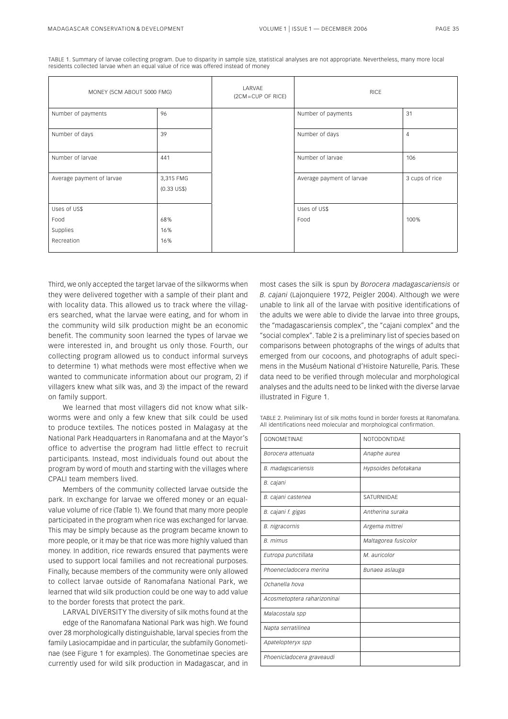TABLE 1. Summary of larvae collecting program. Due to disparity in sample size, statistical analyses are not appropriate. Nevertheless, many more local residents collected larvae when an equal value of rice was offered instead of money

| MONEY (5CM ABOUT 5000 FMG) |                              | LARVAE<br>(2CM=CUP OF RICE) | <b>RICE</b>               |                |
|----------------------------|------------------------------|-----------------------------|---------------------------|----------------|
| Number of payments         | 96                           |                             | Number of payments        | 31             |
| Number of days             | 39                           |                             | Number of days            | $\overline{4}$ |
| Number of larvae           | 441                          |                             | Number of larvae          | 106            |
| Average payment of larvae  | 3,315 FMG<br>$(0.33 \cup S\$ |                             | Average payment of larvae | 3 cups of rice |
| Uses of US\$               |                              |                             | Uses of US\$              |                |
| Food                       | 68%                          |                             | Food                      | 100%           |
| Supplies                   | 16%                          |                             |                           |                |
| Recreation                 | 16%                          |                             |                           |                |

Third, we only accepted the target larvae of the silkworms when they were delivered together with a sample of their plant and with locality data. This allowed us to track where the villagers searched, what the larvae were eating, and for whom in the community wild silk production might be an economic benefit. The community soon learned the types of larvae we were interested in, and brought us only those. Fourth, our collecting program allowed us to conduct informal surveys to determine 1) what methods were most effective when we wanted to communicate information about our program, 2) if villagers knew what silk was, and 3) the impact of the reward on family support.

We learned that most villagers did not know what silkworms were and only a few knew that silk could be used to produce textiles. The notices posted in Malagasy at the National Park Headquarters in Ranomafana and at the Mayor's office to advertise the program had little effect to recruit participants. Instead, most individuals found out about the program by word of mouth and starting with the villages where CPALI team members lived.

Members of the community collected larvae outside the park. In exchange for larvae we offered money or an equalvalue volume of rice (Table 1). We found that many more people participated in the program when rice was exchanged for larvae. This may be simply because as the program became known to more people, or it may be that rice was more highly valued than money. In addition, rice rewards ensured that payments were used to support local families and not recreational purposes. Finally, because members of the community were only allowed to collect larvae outside of Ranomafana National Park, we learned that wild silk production could be one way to add value to the border forests that protect the park.

LARVAL DIVERSITY The diversity of silk moths found at the edge of the Ranomafana National Park was high. We found over 28 morphologically distinguishable, larval species from the family Lasiocampidae and in particular, the subfamily Gonometinae (see Figure 1 for examples). The Gonometinae species are currently used for wild silk production in Madagascar, and in

most cases the silk is spun by *Borocera madagascariensis* or *B. cajani* (Lajonquiere 1972, Peigler 2004). Although we were unable to link all of the larvae with positive identifications of the adults we were able to divide the larvae into three groups, the "madagascariensis complex", the "cajani complex" and the "social complex". Table 2 is a preliminary list of species based on comparisons between photographs of the wings of adults that emerged from our cocoons, and photographs of adult specimens in the Muséum National d'Histoire Naturelle, Paris. These data need to be verified through molecular and morphological analyses and the adults need to be linked with the diverse larvae illustrated in Figure 1.

TABLE 2. Preliminary list of silk moths found in border forests at Ranomafana. All identifications need molecular and morphological confirmation.

| GONOMETINAF                 | NOTODONTIDAE         |  |  |
|-----------------------------|----------------------|--|--|
| Borocera attenuata          | Anaphe aurea         |  |  |
| <b>B.</b> madagscariensis   | Hypsoides befotakana |  |  |
| B. cajani                   |                      |  |  |
| B. cajani castenea          | SATURNIIDAF          |  |  |
| B. cajani f. gigas          | Antherina suraka     |  |  |
| B. nigracornis              | Argema mittrei       |  |  |
| B. mimus                    | Maltagorea fusicolor |  |  |
| Eutropa punctillata         | M. auricolor         |  |  |
| Phoenecladocera merina      | Bunaea aslauga       |  |  |
| Ochanella hova              |                      |  |  |
| Acosmetoptera raharizoninai |                      |  |  |
| Malacostala spp             |                      |  |  |
| Napta serratilinea          |                      |  |  |
| Apatelopteryx spp           |                      |  |  |
| Phoenicladocera graveaudi   |                      |  |  |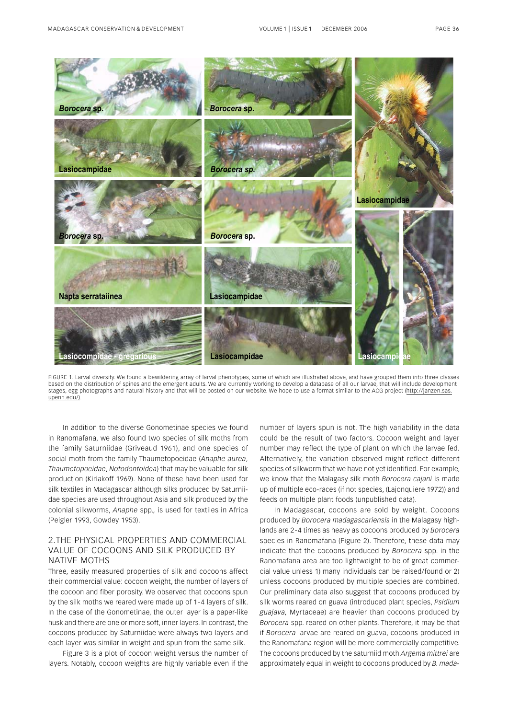

FIGURE 1. Larval diversity. We found a bewildering array of larval phenotypes, some of which are illustrated above, and have grouped them into three classes based on the distribution of spines and the emergent adults. We are currently working to develop a database of all our larvae, that will include development stages, egg photographs and natural history and that will be posted on our website. We hope to use a format similar to the ACG project (http://janzen.sas. upenn.edu/).

In addition to the diverse Gonometinae species we found in Ranomafana, we also found two species of silk moths from the family Saturniidae (Griveaud 1961), and one species of social moth from the family Thaumetopoeidae (*Anaphe aurea*, *Thaumetopoeidae*, *Notodontoidea*) that may be valuable for silk production (Kiriakoff 1969). None of these have been used for silk textiles in Madagascar although silks produced by Saturniidae species are used throughout Asia and silk produced by the colonial silkworms, *Anaphe* spp.*,* is used for textiles in Africa (Peigler 1993, Gowdey 1953).

#### 2.THE PHYSICAL PROPERTIES AND COMMERCIAL VALUE OF COCOONS AND SILK PRODUCED BY NATIVE MOTHS

Three, easily measured properties of silk and cocoons affect their commercial value: cocoon weight, the number of layers of the cocoon and fiber porosity. We observed that cocoons spun by the silk moths we reared were made up of 1 - 4 layers of silk. In the case of the Gonometinae, the outer layer is a paper-like husk and there are one or more soft, inner layers. In contrast, the cocoons produced by Saturniidae were always two layers and each layer was similar in weight and spun from the same silk.

Figure 3 is a plot of cocoon weight versus the number of layers. Notably, cocoon weights are highly variable even if the

number of layers spun is not. The high variability in the data could be the result of two factors. Cocoon weight and layer number may reflect the type of plant on which the larvae fed. Alternatively, the variation observed might reflect different species of silkworm that we have not yet identified. For example, we know that the Malagasy silk moth *Borocera cajani* is made up of multiple eco-races (if not species, (Lajonquiere 1972)) and feeds on multiple plant foods (unpublished data).

In Madagascar, cocoons are sold by weight. Cocoons produced by *Borocera madagascariensis* in the Malagasy highlands are 2 - 4 times as heavy as cocoons produced by *Borocera* species in Ranomafana (Figure 2). Therefore, these data may indicate that the cocoons produced by *Borocera* spp. in the Ranomafana area are too lightweight to be of great commercial value unless 1) many individuals can be raised/found or 2) unless cocoons produced by multiple species are combined. Our preliminary data also suggest that cocoons produced by silk worms reared on guava (introduced plant species, *Psidium guajava,* Myrtaceae) are heavier than cocoons produced by *Borocera* spp. reared on other plants. Therefore, it may be that if *Borocera* larvae are reared on guava, cocoons produced in the Ranomafana region will be more commercially competitive. The cocoons produced by the saturniid moth *Argema mittrei* are approximately equal in weight to cocoons produced by *B. mada-*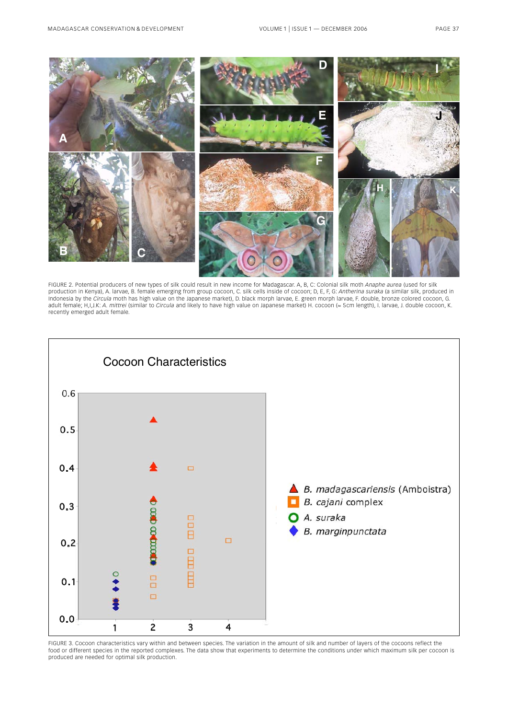

FIGURE 2. Potential producers of new types of silk could result in new income for Madagascar. A, B, C: Colonial silk moth *Anaphe aurea* (used for silk production in Kenya), A. larvae, B. female emerging from group cocoon, C. silk cells inside of cocoon; D, E, F, G: *Antherina suraka* (a similar silk, produced in Indonesia by the *Circula* moth has high value on the Japanese market), D. black morph larvae, E. green morph larvae, F. double, bronze colored cocoon, G. adult female; H,I,J.K: *A. mittrei* (similar to *Circula* and likely to have high value on Japanese market) H. cocoon (≈ 5 cm length), I. larvae, J. double cocoon, K. recently emerged adult female.



FIGURE 3. Cocoon characteristics vary within and between species. The variation in the amount of silk and number of layers of the cocoons reflect the food or different species in the reported complexes. The data show that experiments to determine the conditions under which maximum silk per cocoon is produced are needed for optimal silk production.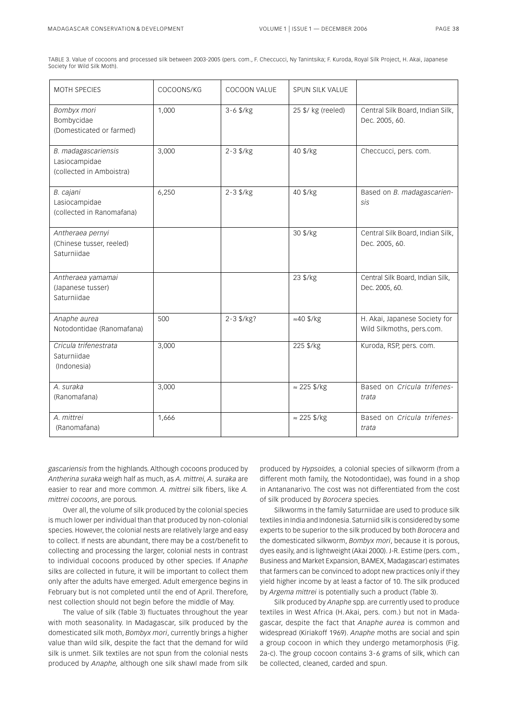TABLE 3. Value of cocoons and processed silk between 2003-2005 (pers. com., F. Checcucci, Ny Tanintsika; F. Kuroda, Royal Silk Project, H. Akai, Japanese Society for Wild Silk Moth).

| MOTH SPECIES                                                     | COCOONS/KG | COCOON VALUE   | SPUN SILK VALUE     |                                                            |
|------------------------------------------------------------------|------------|----------------|---------------------|------------------------------------------------------------|
| Bombyx mori<br>Bombycidae<br>(Domesticated or farmed)            | 1,000      | $3 - 6$ \$/kg  | 25 \$/ kg (reeled)  | Central Silk Board, Indian Silk,<br>Dec. 2005, 60.         |
| B. madagascariensis<br>Lasiocampidae<br>(collected in Amboistra) | 3,000      | $2 - 3$ \$/kg  | 40 \$/kg            | Checcucci, pers. com.                                      |
| B. cajani<br>Lasiocampidae<br>(collected in Ranomafana)          | 6,250      | $2 - 3$ \$/kg  | 40 \$/kg            | Based on B. madagascarien-<br>SİS                          |
| Antheraea pernyi<br>(Chinese tusser, reeled)<br>Saturniidae      |            |                | 30 \$/kg            | Central Silk Board, Indian Silk,<br>Dec. 2005, 60.         |
| Antheraea yamamai<br>(Japanese tusser)<br>Saturniidae            |            |                | 23 \$/kg            | Central Silk Board, Indian Silk,<br>Dec. 2005, 60.         |
| Anaphe aurea<br>Notodontidae (Ranomafana)                        | 500        | $2 - 3$ \$/kg? | $\approx 40$ \$/kg  | H. Akai, Japanese Society for<br>Wild Silkmoths, pers.com. |
| Cricula trifenestrata<br>Saturniidae<br>(Indonesia)              | 3,000      |                | 225 \$/kg           | Kuroda, RSP, pers. com.                                    |
| A. suraka<br>(Ranomafana)                                        | 3,000      |                | $\approx$ 225 \$/kg | Based on Cricula trifenes-<br>trata                        |
| A. mittrei<br>(Ranomafana)                                       | 1,666      |                | $\approx$ 225 \$/kg | Based on Cricula trifenes-<br>trata                        |

*gascariensis* from the highlands. Although cocoons produced by *Antherina suraka* weigh half as much, as *A. mittrei, A. suraka* are easier to rear and more common*. A. mittrei* silk fibers, like *A. mittrei cocoons*, are porous.

Over all, the volume of silk produced by the colonial species is much lower per individual than that produced by non-colonial species. However, the colonial nests are relatively large and easy to collect. If nests are abundant, there may be a cost/benefit to collecting and processing the larger, colonial nests in contrast to individual cocoons produced by other species. If *Anaphe* silks are collected in future, it will be important to collect them only after the adults have emerged. Adult emergence begins in February but is not completed until the end of April. Therefore, nest collection should not begin before the middle of May.

The value of silk (Table 3) fluctuates throughout the year with moth seasonality. In Madagascar, silk produced by the domesticated silk moth, *Bombyx mori*, currently brings a higher value than wild silk, despite the fact that the demand for wild silk is unmet. Silk textiles are not spun from the colonial nests produced by *Anaphe,* although one silk shawl made from silk produced by *Hypsoides,* a colonial species of silkworm (from a different moth family, the Notodontidae), was found in a shop in Antananarivo. The cost was not differentiated from the cost of silk produced by *Borocera* species.

Silkworms in the family Saturniidae are used to produce silk textiles in India and Indonesia. Saturniid silk is considered by some experts to be superior to the silk produced by both *Borocera* and the domesticated silkworm, *Bombyx mori*, because it is porous, dyes easily, and is lightweight (Akai 2000). J-R. Estime (pers. com., Business and Market Expansion, BAMEX, Madagascar) estimates that farmers can be convinced to adopt new practices only if they yield higher income by at least a factor of 10. The silk produced by *Argema mittrei* is potentially such a product (Table 3).

Silk produced by *Anaphe* spp. are currently used to produce textiles in West Africa (H. Akai, pers. com.) but not in Madagascar, despite the fact that *Anaphe aurea* is common and widespread (Kiriakoff 1969). *Anaphe* moths are social and spin a group cocoon in which they undergo metamorphosis (Fig. 2a-c). The group cocoon contains 3-6 grams of silk, which can be collected, cleaned, carded and spun.